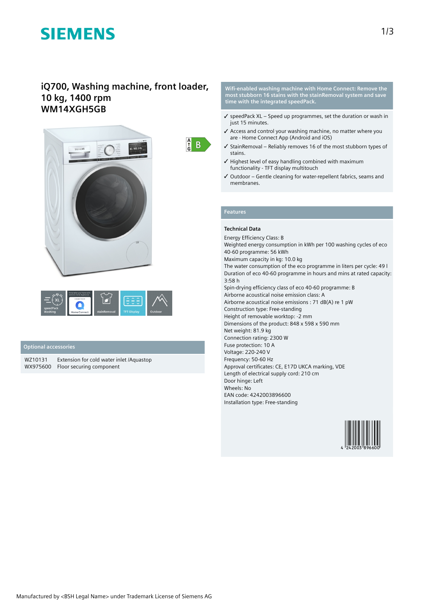# **SIEMENS**

# **iQ700, Washing machine, front loader, 10 kg, 1400 rpm WM14XGH5GB**





### **Optional accessories**

WZ10131 Extension for cold water inlet /Aquastop WX975600 Floor securing component

**Wifi-enabled washing machine with Home Connect: Remove the most stubborn 16 stains with the stainRemoval system and save time with the integrated speedPack.**

- $\checkmark$  speedPack XL Speed up programmes, set the duration or wash in just 15 minutes.
- ✓ Access and control your washing machine, no matter where you are - Home Connect App (Android and iOS)
- ✓ StainRemoval Reliably removes 16 of the most stubborn types of stains.
- ✓ Highest level of easy handling combined with maximum functionality - TFT display multitouch
- ✓ Outdoor Gentle cleaning for water-repellent fabrics, seams and membranes.

### **Features**

 $\begin{array}{cc} A \\ C \\ G \end{array}$  B

## **Technical Data**

Energy Efficiency Class: B Weighted energy consumption in kWh per 100 washing cycles of eco 40-60 programme: 56 kWh Maximum capacity in kg: 10.0 kg The water consumption of the eco programme in liters per cycle: 49 l Duration of eco 40-60 programme in hours and mins at rated capacity: 3:58 h Spin-drying efficiency class of eco 40-60 programme: B Airborne acoustical noise emission class: A Airborne acoustical noise emissions : 71 dB(A) re 1 pW Construction type: Free-standing Height of removable worktop: -2 mm Dimensions of the product: 848 x 598 x 590 mm Net weight: 81.9 kg Connection rating: 2300 W Fuse protection: 10 A Voltage: 220-240 V Frequency: 50-60 Hz Approval certificates: CE, E17D UKCA marking, VDE Length of electrical supply cord: 210 cm Door hinge: Left Wheels: No EAN code: 4242003896600 Installation type: Free-standing

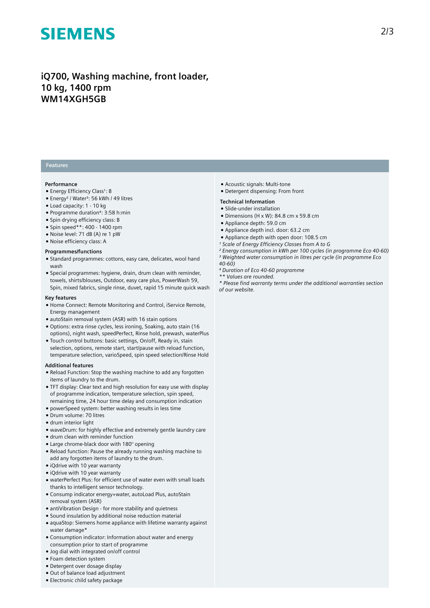# **SIEMENS**

# **iQ700, Washing machine, front loader, 10 kg, 1400 rpm WM14XGH5GB**

### **Features**

#### **Performance**

- Energy Efficiency Class<sup>1</sup>: B
- Energy<sup>2</sup> / Water<sup>3</sup>: 56 kWh / 49 litres
- Load capacity: 1 10 kg
- Programme duration⁴: 3:58 h:min
- Spin drying efficiency class: B
- Spin speed\*\*: 400 1400 rpm
- Noise level: 71 dB (A) re 1 pW
- Noise efficiency class: A

#### **Programmes/functions**

- Standard programmes: cottons, easy care, delicates, wool hand wash
- Special programmes: hygiene, drain, drum clean with reminder, towels, shirts/blouses, Outdoor, easy care plus, PowerWash 59, Spin, mixed fabrics, single rinse, duvet, rapid 15 minute quick wash

#### **Key features**

- Home Connect: Remote Monitoring and Control, iService Remote, Energy management
- autoStain removal system (ASR) with 16 stain options
- Options: extra rinse cycles, less ironing, Soaking, auto stain (16 options), night wash, speedPerfect, Rinse hold, prewash, waterPlus
- Touch control buttons: basic settings, On/off, Ready in, stain selection, options, remote start, start/pause with reload function, temperature selection, varioSpeed, spin speed selection/Rinse Hold

#### **Additional features**

- Reload Function: Stop the washing machine to add any forgotten items of laundry to the drum.
- TFT display: Clear text and high resolution for easy use with display of programme indication, temperature selection, spin speed, remaining time, 24 hour time delay and consumption indication
- powerSpeed system: better washing results in less time
- Drum volume: 70 litres
- drum interior light
- waveDrum: for highly effective and extremely gentle laundry care
- drum clean with reminder function
- Large chrome-black door with 180° opening
- Reload function: Pause the already running washing machine to add any forgotten items of laundry to the drum.
- iQdrive with 10 year warranty
- iQdrive with 10 year warranty
- waterPerfect Plus: for efficient use of water even with small loads thanks to intelligent sensor technology.
- Consump indicator energy+water, autoLoad Plus, autoStain removal system (ASR)
- antiVibration Design for more stability and quietness
- Sound insulation by additional noise reduction material
- aquaStop: Siemens home appliance with lifetime warranty against water damage\*
- Consumption indicator: Information about water and energy consumption prior to start of programme
- Jog dial with integrated on/off control
- Foam detection system
- Detergent over dosage display
- Out of balance load adjustment
- Electronic child safety package
- Acoustic signals: Multi-tone
- Detergent dispensing: From front
- **Technical Information**
- Slide-under installation
- $\bullet$  Dimensions (H x W): 84.8 cm x 59.8 cm
- Appliance depth: 59.0 cm
- Appliance depth incl. door: 63.2 cm
- Appliance depth with open door: 108.5 cm
- *¹ Scale of Energy Efficiency Classes from A to G*
- *² Energy consumption in kWh per 100 cycles (in programme Eco 40-60) ³ Weighted water consumption in litres per cycle (in programme Eco 40-60)*
- *⁴ Duration of Eco 40-60 programme*
- *\*\* Values are rounded.*
- *\* Please find warranty terms under the additional warranties section of our website.*